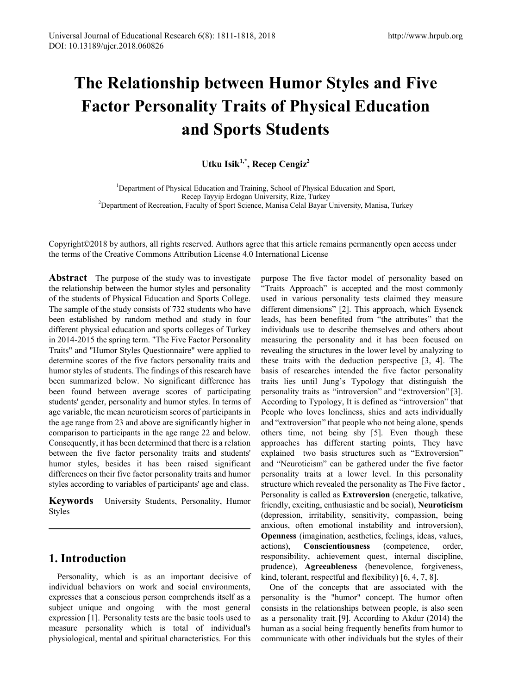# **The Relationship between Humor Styles and Five Factor Personality Traits of Physical Education and Sports Students**

**Utku Isik1,\*, Recep Cengiz2**

<sup>1</sup>Department of Physical Education and Training, School of Physical Education and Sport, Recep Tayyip Erdogan University, Rize, Turkey<br><sup>2</sup>Department of Recreation, Faculty of Sport Science, Manisa Celal Bayar University, Manisa, Turkey

Copyright©2018 by authors, all rights reserved. Authors agree that this article remains permanently open access under the terms of the Creative Commons Attribution License 4.0 International License

**Abstract** The purpose of the study was to investigate the relationship between the humor styles and personality of the students of Physical Education and Sports College. The sample of the study consists of 732 students who have been established by random method and study in four different physical education and sports colleges of Turkey in 2014-2015 the spring term. "The Five Factor Personality Traits" and "Humor Styles Questionnaire" were applied to determine scores of the five factors personality traits and humor styles of students. The findings of this research have been summarized below. No significant difference has been found between average scores of participating students' gender, personality and humor styles. In terms of age variable, the mean neuroticism scores of participants in the age range from 23 and above are significantly higher in comparison to participants in the age range 22 and below. Consequently, it has been determined that there is a relation between the five factor personality traits and students' humor styles, besides it has been raised significant differences on their five factor personality traits and humor styles according to variables of participants' age and class.

**Keywords** University Students, Personality, Humor Styles

# **1. Introduction**

Personality, which is as an important decisive of individual behaviors on work and social environments, expresses that a conscious person comprehends itself as a subject unique and ongoing with the most general expression [1]. Personality tests are the basic tools used to measure personality which is total of individual's physiological, mental and spiritual characteristics. For this

purpose The five factor model of personality based on "Traits Approach" is accepted and the most commonly used in various personality tests claimed they measure different dimensions" [2]. This approach, which Eysenck leads, has been benefited from "the attributes" that the individuals use to describe themselves and others about measuring the personality and it has been focused on revealing the structures in the lower level by analyzing to these traits with the deduction perspective [3, 4]. The basis of researches intended the five factor personality traits lies until Jung's Typology that distinguish the personality traits as "introversion" and "extroversion" [3]. According to Typology, It is defined as "introversion" that People who loves loneliness, shies and acts individually and "extroversion" that people who not being alone, spends others time, not being shy [5]. Even though these approaches has different starting points, They have explained two basis structures such as "Extroversion" and "Neuroticism" can be gathered under the five factor personality traits at a lower level. In this personality structure which revealed the personality as The Five factor , Personality is called as **Extroversion** (energetic, talkative, friendly, exciting, enthusiastic and be social), **Neuroticism** (depression, irritability, sensitivity, compassion, being anxious, often emotional instability and introversion), **Openness** (imagination, aesthetics, feelings, ideas, values, actions), **Conscientiousness** (competence, order, responsibility, achievement quest, internal discipline, prudence), **Agreeableness** (benevolence, forgiveness, kind, tolerant, respectful and flexibility) [6, 4, 7, 8].

One of the concepts that are associated with the personality is the "humor" concept. The humor often consists in the relationships between people, is also seen as a personality trait. [9]. According to Akdur (2014) the human as a social being frequently benefits from humor to communicate with other individuals but the styles of their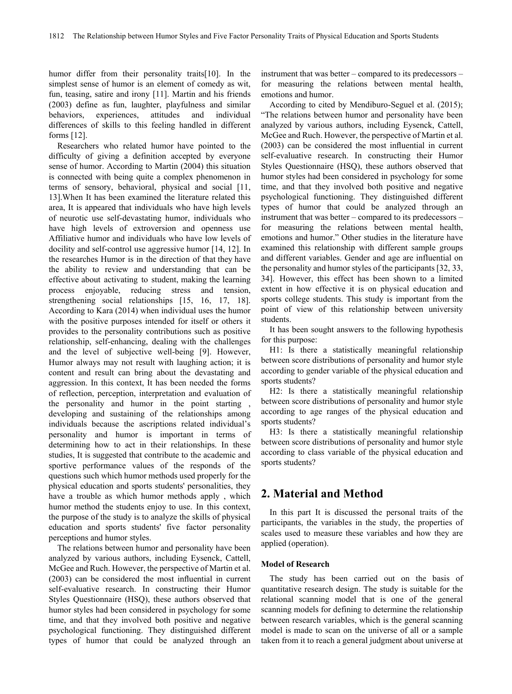humor differ from their personality traits[10]. In the simplest sense of humor is an element of comedy as wit, fun, teasing, satire and irony [11]. Martin and his friends (2003) define as fun, laughter, playfulness and similar behaviors, experiences, attitudes and individual differences of skills to this feeling handled in different forms [12].

Researchers who related humor have pointed to the difficulty of giving a definition accepted by everyone sense of humor. According to Martin (2004) this situation is connected with being quite a complex phenomenon in terms of sensory, behavioral, physical and social [11, 13].When It has been examined the literature related this area, It is appeared that individuals who have high levels of neurotic use self-devastating humor, individuals who have high levels of extroversion and openness use Affiliative humor and individuals who have low levels of docility and self-control use aggressive humor [14, 12]. In the researches Humor is in the direction of that they have the ability to review and understanding that can be effective about activating to student, making the learning process enjoyable, reducing stress and tension, strengthening social relationships [15, 16, 17, 18]. According to Kara (2014) when individual uses the humor with the positive purposes intended for itself or others it provides to the personality contributions such as positive relationship, self-enhancing, dealing with the challenges and the level of subjective well-being [9]. However, Humor always may not result with laughing action; it is content and result can bring about the devastating and aggression. In this context, It has been needed the forms of reflection, perception, interpretation and evaluation of the personality and humor in the point starting , developing and sustaining of the relationships among individuals because the ascriptions related individual's personality and humor is important in terms of determining how to act in their relationships. In these studies, It is suggested that contribute to the academic and sportive performance values of the responds of the questions such which humor methods used properly for the physical education and sports students' personalities, they have a trouble as which humor methods apply , which humor method the students enjoy to use. In this context, the purpose of the study is to analyze the skills of physical education and sports students' five factor personality perceptions and humor styles.

The relations between humor and personality have been analyzed by various authors, including Eysenck, Cattell, McGee and Ruch. However, the perspective of Martin et al. (2003) can be considered the most influential in current self-evaluative research. In constructing their Humor Styles Questionnaire (HSQ), these authors observed that humor styles had been considered in psychology for some time, and that they involved both positive and negative psychological functioning. They distinguished different types of humor that could be analyzed through an

instrument that was better – compared to its predecessors – for measuring the relations between mental health, emotions and humor.

According to cited by Mendiburo-Seguel et al. (2015); "The relations between humor and personality have been analyzed by various authors, including Eysenck, Cattell, McGee and Ruch. However, the perspective of Martin et al. (2003) can be considered the most influential in current self-evaluative research. In constructing their Humor Styles Questionnaire (HSQ), these authors observed that humor styles had been considered in psychology for some time, and that they involved both positive and negative psychological functioning. They distinguished different types of humor that could be analyzed through an instrument that was better – compared to its predecessors – for measuring the relations between mental health, emotions and humor." Other studies in the literature have examined this relationship with different sample groups and different variables. Gender and age are influential on the personality and humor styles of the participants [32, 33, 34]. However, this effect has been shown to a limited extent in how effective it is on physical education and sports college students. This study is important from the point of view of this relationship between university students.

It has been sought answers to the following hypothesis for this purpose:

H1: Is there a statistically meaningful relationship between score distributions of personality and humor style according to gender variable of the physical education and sports students?

H2: Is there a statistically meaningful relationship between score distributions of personality and humor style according to age ranges of the physical education and sports students?

H3: Is there a statistically meaningful relationship between score distributions of personality and humor style according to class variable of the physical education and sports students?

# **2. Material and Method**

In this part It is discussed the personal traits of the participants, the variables in the study, the properties of scales used to measure these variables and how they are applied (operation).

## **Model of Research**

The study has been carried out on the basis of quantitative research design. The study is suitable for the relational scanning model that is one of the general scanning models for defining to determine the relationship between research variables, which is the general scanning model is made to scan on the universe of all or a sample taken from it to reach a general judgment about universe at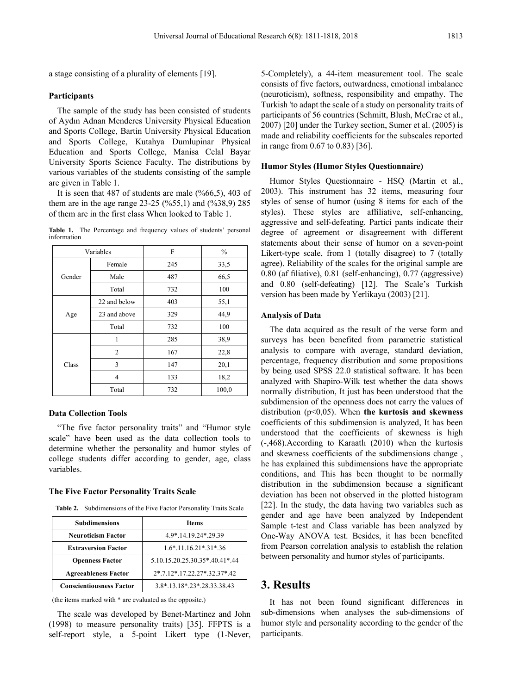a stage consisting of a plurality of elements [19].

## **Participants**

The sample of the study has been consisted of students of Aydın Adnan Menderes University Physical Education and Sports College, Bartin University Physical Education and Sports College, Kutahya Dumlupinar Physical Education and Sports College, Manisa Celal Bayar University Sports Science Faculty. The distributions by various variables of the students consisting of the sample are given in Table 1.

It is seen that 487 of students are male (%66,5), 403 of them are in the age range 23-25 (%55,1) and (%38,9) 285 of them are in the first class When looked to Table 1.

Table 1. The Percentage and frequency values of students' personal information

| Variables |              | F   | $\frac{0}{0}$ |  |
|-----------|--------------|-----|---------------|--|
|           | Female       | 245 | 33,5          |  |
| Gender    | Male         | 487 | 66,5          |  |
|           | Total        | 732 | 100           |  |
|           | 22 and below | 403 | 55,1          |  |
| Age       | 23 and above | 329 | 44,9          |  |
|           | Total        | 732 | 100           |  |
|           | 1            | 285 | 38,9          |  |
| Class     | 2            | 167 | 22,8          |  |
|           | 3            | 147 | 20,1          |  |
|           | 4            | 133 | 18,2          |  |
|           | Total        | 732 | 100,0         |  |

## **Data Collection Tools**

"The five factor personality traits" and "Humor style scale" have been used as the data collection tools to determine whether the personality and humor styles of college students differ according to gender, age, class variables.

#### **The Five Factor Personality Traits Scale**

**Table 2.** Subdimensions of the Five Factor Personality Traits Scale

| <b>Subdimensions</b>            | <b>Items</b>                          |  |  |
|---------------------------------|---------------------------------------|--|--|
| <b>Neuroticism Factor</b>       | 4.9*.14.19.24*.29.39                  |  |  |
| <b>Extraversion Factor</b>      | $1.6*$ , 11, 16, 21 $*$ , 31 $*$ , 36 |  |  |
| <b>Openness Factor</b>          | 5.10.15.20.25.30.35*.40.41*.44        |  |  |
| <b>Agreeableness Factor</b>     | 2*.7.12*.17.22.27*.32.37*.42          |  |  |
| <b>Conscientiousness Factor</b> | 3.8*.13.18*.23*.28.33.38.43           |  |  |

(the items marked with \* are evaluated as the opposite.)

The scale was developed by Benet-Martinez and John (1998) to measure personality traits) [35]. FFPTS is a self-report style, a 5-point Likert type (1-Never, 5-Completely), a 44-item measurement tool. The scale consists of five factors, outwardness, emotional imbalance (neuroticism), softness, responsibility and empathy. The Turkish 'to adapt the scale of a study on personality traits of participants of 56 countries (Schmitt, Blush, McCrae et al., 2007) [20] under the Turkey section, Sumer et al. (2005) is made and reliability coefficients for the subscales reported in range from 0.67 to 0.83) [36].

### **Humor Styles (Humor Styles Questionnaire)**

Humor Styles Questionnaire - HSQ (Martin et al., 2003). This instrument has 32 items, measuring four styles of sense of humor (using 8 items for each of the styles). These styles are affiliative, self-enhancing, aggressive and self-defeating. Partici pants indicate their degree of agreement or disagreement with different statements about their sense of humor on a seven-point Likert-type scale, from 1 (totally disagree) to 7 (totally agree). Reliability of the scales for the original sample are 0.80 (af filiative), 0.81 (self-enhancing), 0.77 (aggressive) and 0.80 (self-defeating) [12]. The Scale's Turkish version has been made by Yerlikaya (2003) [21].

## **Analysis of Data**

The data acquired as the result of the verse form and surveys has been benefited from parametric statistical analysis to compare with average, standard deviation, percentage, frequency distribution and some propositions by being used SPSS 22.0 statistical software. It has been analyzed with Shapiro-Wilk test whether the data shows normally distribution, It just has been understood that the subdimension of the openness does not carry the values of distribution (p<0,05). When **the kurtosis and skewness** coefficients of this subdimension is analyzed, It has been understood that the coefficients of skewness is high (-,468).According to Karaatlı (2010) when the kurtosis and skewness coefficients of the subdimensions change , he has explained this subdimensions have the appropriate conditions, and This has been thought to be normally distribution in the subdimension because a significant deviation has been not observed in the plotted histogram [22]. In the study, the data having two variables such as gender and age have been analyzed by Independent Sample t-test and Class variable has been analyzed by One-Way ANOVA test. Besides, it has been benefited from Pearson correlation analysis to establish the relation between personality and humor styles of participants.

## **3. Results**

It has not been found significant differences in sub-dimensions when analyses the sub-dimensions of humor style and personality according to the gender of the participants.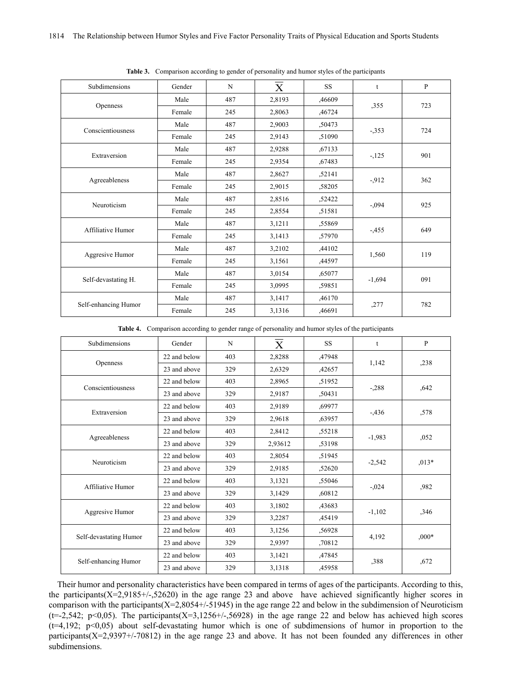| Subdimensions        | Gender | N   | $\overline{\text{X}}$ | <b>SS</b> | $\mathbf{t}$ | $\mathbf{P}$ |
|----------------------|--------|-----|-----------------------|-----------|--------------|--------------|
|                      | Male   | 487 | 2,8193                | ,46609    |              | 723          |
| Openness             | Female | 245 | 2,8063                | ,46724    | ,355         |              |
| Conscientiousness    | Male   | 487 | 2,9003                | ,50473    |              | 724          |
|                      | Female | 245 | 2,9143                | ,51090    | $-353$       |              |
| Extraversion         | Male   | 487 | 2,9288                | ,67133    |              | 901          |
|                      | Female | 245 | 2,9354                | ,67483    | $-125$       |              |
|                      | Male   | 487 | 2,8627                | ,52141    |              | 362          |
| Agreeableness        | Female | 245 | 2,9015                | ,58205    | $-912$       |              |
| Neuroticism          | Male   | 487 | 2,8516                | ,52422    | $-.094$      | 925          |
|                      | Female | 245 | 2,8554                | ,51581    |              |              |
| Affiliative Humor    | Male   | 487 | 3,1211                | ,55869    | $-455$       | 649          |
|                      | Female | 245 | 3,1413                | ,57970    |              |              |
|                      | Male   | 487 | 3,2102                | ,44102    |              | 119          |
| Aggresive Humor      | Female | 245 | 3,1561                | ,44597    | 1,560        |              |
|                      | Male   | 487 | 3,0154                | ,65077    |              | 091          |
| Self-devastating H.  | Female | 245 | 3,0995                | ,59851    | $-1,694$     |              |
|                      | Male   | 487 | 3,1417                | ,46170    |              | 782          |
| Self-enhancing Humor | Female | 245 | 3,1316                | ,46691    | ,277         |              |

**Table 3.** Comparison according to gender of personality and humor styles of the participants

**Table 4.** Comparison according to gender range of personality and humor styles of the participants

| Subdimensions          | Gender       | N   | $\overline{\text{X}}$ | <b>SS</b> | $\mathbf{t}$ | P       |
|------------------------|--------------|-----|-----------------------|-----------|--------------|---------|
|                        | 22 and below | 403 | 2,8288                | ,47948    |              | ,238    |
| Openness               | 23 and above | 329 | 2,6329                | ,42657    | 1,142        |         |
| Conscientiousness      | 22 and below | 403 | 2,8965                | ,51952    |              | ,642    |
|                        | 23 and above | 329 | 2,9187                | .50431    | $-.288$      |         |
| Extraversion           | 22 and below | 403 | 2,9189                | .69977    |              | ,578    |
|                        | 23 and above | 329 | 2,9618                | ,63957    | $-436$       |         |
|                        | 22 and below | 403 | 2,8412                | ,55218    | $-1,983$     | ,052    |
| Agreeableness          | 23 and above | 329 | 2,93612               | ,53198    |              |         |
| Neuroticism            | 22 and below | 403 | 2,8054                | ,51945    | $-2,542$     | $,013*$ |
|                        | 23 and above | 329 | 2,9185                | ,52620    |              |         |
| Affiliative Humor      | 22 and below | 403 | 3,1321                | ,55046    |              | ,982    |
|                        | 23 and above | 329 | 3,1429                | ,60812    | $-.024$      |         |
|                        | 22 and below | 403 | 3,1802                | ,43683    |              | ,346    |
| Aggresive Humor        | 23 and above | 329 | 3,2287                | ,45419    | $-1,102$     |         |
|                        | 22 and below | 403 | 3,1256                | ,56928    |              |         |
| Self-devastating Humor | 23 and above | 329 | 2,9397                | ,70812    | 4,192        | $,000*$ |
|                        | 22 and below | 403 | 3,1421                | ,47845    |              | ,672    |
| Self-enhancing Humor   | 23 and above | 329 | 3,1318                | ,45958    | ,388         |         |

Their humor and personality characteristics have been compared in terms of ages of the participants. According to this, the participants(X=2,9185+/-,52620) in the age range 23 and above have achieved significantly higher scores in comparison with the participants( $X=2,8054+/51945$ ) in the age range 22 and below in the subdimension of Neuroticism  $(t=-2,542; p<0,05)$ . The participants(X=3,1256+/-,56928) in the age range 22 and below has achieved high scores (t=4,192; p<0,05) about self-devastating humor which is one of subdimensions of humor in proportion to the participants(X=2,9397+/-70812) in the age range 23 and above. It has not been founded any differences in other subdimensions.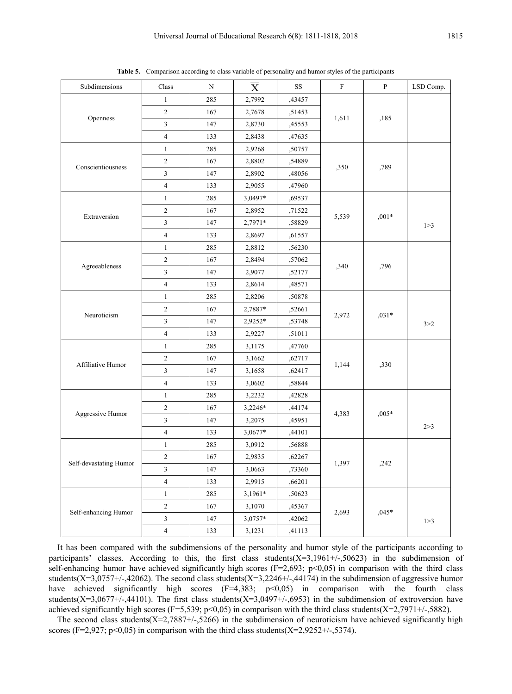| Subdimensions          | Class                   | $\mathbf N$ | $\mathbf X$ | $_{\rm SS}$ | ${\bf F}$     | $\, {\bf p}$ | LSD Comp. |
|------------------------|-------------------------|-------------|-------------|-------------|---------------|--------------|-----------|
| Openness               | $\mathbf{1}$            | 285         | 2,7992      | ,43457      | 1,611<br>,185 |              |           |
|                        | $\sqrt{2}$              | 167         | 2,7678      | ,51453      |               |              |           |
|                        | 3                       | 147         | 2,8730      | ,45553      |               |              |           |
|                        | $\overline{4}$          | 133         | 2,8438      | ,47635      |               |              |           |
|                        | $\mathbf{1}$            | 285         | 2,9268      | ,50757      |               | ,350<br>,789 |           |
| Conscientiousness      | $\sqrt{2}$              | 167         | 2,8802      | ,54889      |               |              |           |
|                        | $\mathfrak{Z}$          | 147         | 2,8902      | ,48056      |               |              |           |
|                        | $\overline{4}$          | 133         | 2,9055      | ,47960      |               |              |           |
|                        | $\mathbf{1}$            | 285         | 3,0497*     | ,69537      |               |              |           |
| Extraversion           | $\sqrt{2}$              | 167         | 2,8952      | ,71522      |               | $,001*$      |           |
|                        | $\mathfrak{Z}$          | 147         | 2,7971*     | ,58829      | 5,539         |              | 1 > 3     |
|                        | $\overline{\mathbf{4}}$ | 133         | 2,8697      | ,61557      |               |              |           |
|                        | $\mathbf{1}$            | 285         | 2,8812      | ,56230      |               |              |           |
|                        | $\sqrt{2}$              | 167         | 2,8494      | ,57062      |               |              |           |
| Agreeableness          | $\mathfrak z$           | 147         | 2,9077      | ,52177      | ,340          | ,796         |           |
|                        | $\overline{4}$          | 133         | 2,8614      | ,48571      |               |              |           |
|                        | $\mathbf{1}$            | 285         | 2,8206      | ,50878      | 2,972         | $,031*$      |           |
|                        | $\sqrt{2}$              | 167         | 2,7887*     | ,52661      |               |              |           |
| Neuroticism            | 3                       | 147         | $2,9252*$   | ,53748      |               |              | 3 > 2     |
|                        | $\overline{4}$          | 133         | 2,9227      | ,51011      |               |              |           |
|                        | $\mathbf{1}$            | 285         | 3,1175      | ,47760      | 1,144<br>,330 |              |           |
|                        | $\sqrt{2}$              | 167         | 3,1662      | ,62717      |               |              |           |
| Affiliative Humor      | 3                       | 147         | 3,1658      | ,62417      |               |              |           |
|                        | $\overline{4}$          | 133         | 3,0602      | ,58844      |               |              |           |
|                        | $\mathbf{1}$            | 285         | 3,2232      | ,42828      |               | $,005*$      |           |
|                        | $\sqrt{2}$              | 167         | 3,2246*     | ,44174      | 4,383         |              |           |
| Aggressive Humor       | $\mathfrak{Z}$          | 147         | 3,2075      | ,45951      |               |              |           |
|                        | $\overline{4}$          | 133         | 3,0677*     | ,44101      |               |              | 2 > 3     |
|                        | $\mathbf{1}$            | 285         | 3,0912      | ,56888      | ,242<br>1,397 |              |           |
| Self-devastating Humor | $\sqrt{2}$              | 167         | 2,9835      | ,62267      |               |              |           |
|                        | 3                       | 147         | 3,0663      | ,73360      |               |              |           |
|                        | $\overline{4}$          | 133         | 2,9915      | ,66201      |               |              |           |
|                        | $\mathbf{1}$            | 285         | 3,1961*     | ,50623      |               |              |           |
|                        | $\sqrt{2}$              | 167         | 3,1070      | ,45367      |               |              |           |
| Self-enhancing Humor   | $\mathfrak{Z}$          | 147         | 3,0757*     | ,42062      | 2,693         | $,045*$      | 1 > 3     |
|                        | $\overline{4}$          | 133         | 3,1231      | ,41113      |               |              |           |

**Table 5.** Comparison according to class variable of personality and humor styles of the participants

It has been compared with the subdimensions of the personality and humor style of the participants according to participants' classes. According to this, the first class students(X=3,1961+/-,50623) in the subdimension of self-enhancing humor have achieved significantly high scores ( $F=2,693$ ; p<0,05) in comparison with the third class students(X=3,0757+/-,42062). The second class students(X=3,2246+/-,44174) in the subdimension of aggressive humor have achieved significantly high scores  $(F=4,383; p<0,05)$  in comparison with the fourth class students(X=3,0677+/-,44101). The first class students(X=3,0497+/-,6953) in the subdimension of extroversion have achieved significantly high scores (F=5,539; p<0,05) in comparison with the third class students(X=2,7971+/-,5882).

The second class students( $X=2,7887+/5266$ ) in the subdimension of neuroticism have achieved significantly high scores (F=2,927; p<0,05) in comparison with the third class students(X=2,9252+/-,5374).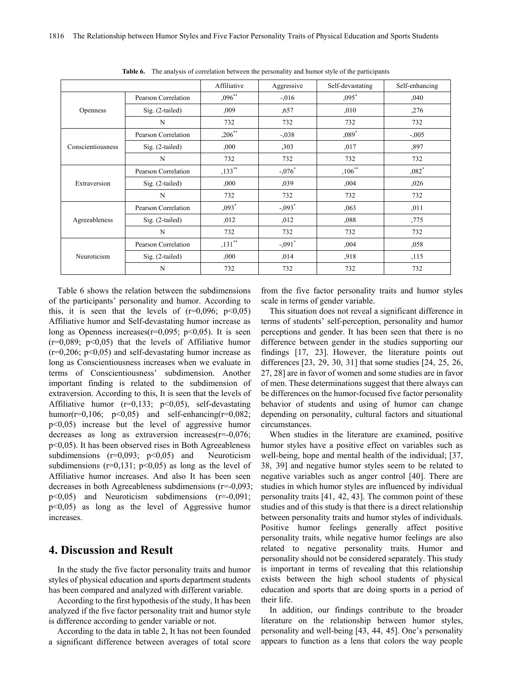|                   |                     | Affiliative | Aggressive           | Self-devastating | Self-enhancing      |
|-------------------|---------------------|-------------|----------------------|------------------|---------------------|
|                   | Pearson Correlation | $,096$ **   | $-0.016$             | $,095*$          | ,040                |
| <b>Openness</b>   | $Sig. (2-tailed)$   | ,009        | ,657                 | ,010             | ,276                |
|                   | N                   | 732         | 732                  | 732              | 732                 |
|                   | Pearson Correlation | $,206$ **   | $-.038$              | $,089*$          | $-.005$             |
| Conscientiousness | $Sig. (2-tailed)$   | .000        | ,303                 | ,017             | ,897                |
|                   | N                   | 732         | 732                  | 732              | 732                 |
|                   | Pearson Correlation | $,133$ **   | $-.076*$             | $,106$ **        | $,082$ <sup>*</sup> |
| Extraversion      | $Sig. (2-tailed)$   | .000        | ,039                 | ,004             | ,026                |
|                   | N                   | 732         | 732                  | 732              | 732                 |
| Agreeableness     | Pearson Correlation | $,093*$     | $-0.093$             | ,063             | ,011                |
|                   | $Sig. (2-tailed)$   | ,012        | ,012                 | ,088             | ,775                |
|                   | N                   | 732         | 732                  | 732              | 732                 |
| Neuroticism       | Pearson Correlation | $,131$ **   | $-.091$ <sup>*</sup> | ,004             | ,058                |
|                   | $Sig. (2-tailed)$   | ,000,       | ,014                 | ,918             | ,115                |
|                   | N                   | 732         | 732                  | 732              | 732                 |

**Table 6.** The analysis of correlation between the personality and humor style of the participants

Table 6 shows the relation between the subdimensions of the participants' personality and humor. According to this, it is seen that the levels of  $(r=0.096; p<0.05)$ Affiliative humor and Self-devastating humor increase as long as Openness increases( $r=0.095$ ;  $p<0.05$ ). It is seen  $(r=0.089; p<0.05)$  that the levels of Affiliative humor  $(r=0,206; p<0,05)$  and self-devastating humor increase as long as Conscientiousness increases when we evaluate in terms of Conscientiousness' subdimension. Another important finding is related to the subdimension of extraversion. According to this, It is seen that the levels of Affiliative humor  $(r=0,133; p<0,05)$ , self-devastating humor( $r=0,106$ ;  $p<0,05$ ) and self-enhancing( $r=0,082$ ; p<0,05) increase but the level of aggressive humor decreases as long as extraversion increases( $r=0.076$ ; p<0,05). It has been observed rises in Both Agreeableness subdimensions  $(r=0.093; p<0.05)$  and Neuroticism subdimensions ( $r=0,131$ ;  $p<0,05$ ) as long as the level of Affiliative humor increases. And also It has been seen decreases in both Agreeableness subdimensions (r=-0,093;  $p<0.05$ ) and Neuroticism subdimensions  $(r=0.091)$ ; p<0,05) as long as the level of Aggressive humor increases.

# **4. Discussion and Result**

In the study the five factor personality traits and humor styles of physical education and sports department students has been compared and analyzed with different variable.

According to the first hypothesis of the study, It has been analyzed if the five factor personality trait and humor style is difference according to gender variable or not.

According to the data in table 2, It has not been founded a significant difference between averages of total score from the five factor personality traits and humor styles scale in terms of gender variable.

This situation does not reveal a significant difference in terms of students' self-perception, personality and humor perceptions and gender. It has been seen that there is no difference between gender in the studies supporting our findings [17, 23]. However, the literature points out differences [23, 29, 30, 31] that some studies [24, 25, 26, 27, 28] are in favor of women and some studies are in favor of men. These determinations suggest that there always can be differences on the humor-focused five factor personality behavior of students and using of humor can change depending on personality, cultural factors and situational circumstances.

When studies in the literature are examined, positive humor styles have a positive effect on variables such as well-being, hope and mental health of the individual; [37, 38, 39] and negative humor styles seem to be related to negative variables such as anger control [40]. There are studies in which humor styles are influenced by individual personality traits [41, 42, 43]. The common point of these studies and of this study is that there is a direct relationship between personality traits and humor styles of individuals. Positive humor feelings generally affect positive personality traits, while negative humor feelings are also related to negative personality traits. Humor and personality should not be considered separately. This study is important in terms of revealing that this relationship exists between the high school students of physical education and sports that are doing sports in a period of their life.

In addition, our findings contribute to the broader literature on the relationship between humor styles, personality and well-being [43, 44, 45]. One's personality appears to function as a lens that colors the way people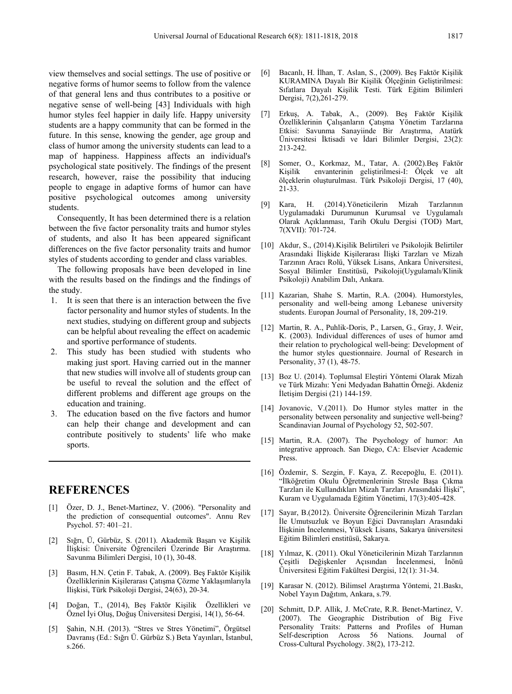view themselves and social settings. The use of positive or negative forms of humor seems to follow from the valence of that general lens and thus contributes to a positive or negative sense of well-being [43] Individuals with high humor styles feel happier in daily life. Happy university students are a happy community that can be formed in the future. In this sense, knowing the gender, age group and class of humor among the university students can lead to a map of happiness. Happiness affects an individual's psychological state positively. The findings of the present research, however, raise the possibility that inducing people to engage in adaptive forms of humor can have positive psychological outcomes among university students.

Consequently, It has been determined there is a relation between the five factor personality traits and humor styles of students, and also It has been appeared significant differences on the five factor personality traits and humor styles of students according to gender and class variables.

The following proposals have been developed in line with the results based on the findings and the findings of the study.

- 1. It is seen that there is an interaction between the five factor personality and humor styles of students. In the next studies, studying on different group and subjects can be helpful about revealing the effect on academic and sportive performance of students.
- 2. This study has been studied with students who making just sport. Having carried out in the manner that new studies will involve all of students group can be useful to reveal the solution and the effect of different problems and different age groups on the education and training.
- 3. The education based on the five factors and humor can help their change and development and can contribute positively to students' life who make sports.

# **REFERENCES**

- [1] Özer, D. J., Benet-Martinez, V. (2006). "Personality and the prediction of consequential outcomes". Annu Rev Psychol. 57: 401–21.
- [2] Sığrı, Ü, Gürbüz, S. (2011). Akademik Başarı ve Kişilik İlişkisi: Üniversite Öğrencileri Üzerinde Bir Araştırma. Savunma Bilimleri Dergisi, 10 (1), 30-48.
- [3] Basım, H.N. Çetin F. Tabak, A. (2009). Beş Faktör Kişilik Özelliklerinin Kişilerarası Çatışma Çözme Yaklaşımlarıyla İlişkisi, Türk Psikoloji Dergisi, 24(63), 20-34.
- [4] Doğan, T., (2014), Beş Faktör Kişilik Özellikleri ve Öznel İyi Oluş, Doğuş Üniversitesi Dergisi, 14(1), 56-64.
- [5] Şahin, N.H. (2013). "Stres ve Stres Yönetimi", Örgütsel Davranış (Ed.: Sığrı Ü. Gürbüz S.) Beta Yayınları, İstanbul, s.266.
- [6] Bacanlı, H. İlhan, T. Aslan, S., (2009). Beş Faktör Kişilik KURAMINA Dayalı Bir Kişilik Ölçeğinin Geliştirilmesi: Sıfatlara Dayalı Kişilik Testi. Türk Eğitim Bilimleri Dergisi, 7(2),261-279.
- [7] Erkuş, A. Tabak, A., (2009). Beş Faktör Kişilik Özelliklerinin Çalışanların Çatışma Yönetim Tarzlarına Etkisi: Savunma Sanayiinde Bir Araştırma, Atatürk Üniversitesi İktisadi ve İdari Bilimler Dergisi, 23(2): 213-242.
- [8] Somer, O., Korkmaz, M., Tatar, A. (2002).Beş Faktör envanterinin geliştirilmesi-I: Ölçek ve alt ölçeklerin oluşturulması. Türk Psikoloji Dergisi, 17 (40), 21-33.
- [9] Kara, H. (2014).Yöneticilerin Mizah Tarzlarının Uygulamadaki Durumunun Kurumsal ve Uygulamalı Olarak Açıklanması, Tarih Okulu Dergisi (TOD) Mart, 7(XVII): 701-724.
- [10] Akdur, S., (2014).Kişilik Belirtileri ve Psikolojik Belirtiler Arasındaki İlişkide Kişilerarası İlişki Tarzları ve Mizah Tarzının Aracı Rolü, Yüksek Lisans, Ankara Üniversitesi, Sosyal Bilimler Enstitüsü, Psikoloji(Uygulamalı/Klinik Psikoloji) Anabilim Dalı, Ankara.
- [11] Kazarian, Shahe S. Martin, R.A. (2004). Humorstyles, personality and well-being among Lebanese university students. Europan Journal of Personality, 18, 209-219.
- [12] Martin, R. A., Puhlik-Doris, P., Larsen, G., Gray, J. Weir, K. (2003). Individual differences of uses of humor amd their relation to prychological well-being: Development of the humor styles questionnaire. Journal of Research in Personality, 37 (1), 48-75.
- [13] Boz U. (2014). Toplumsal Eleştiri Yöntemi Olarak Mizah ve Türk Mizahı: Yeni Medyadan Bahattin Örneği. Akdeniz İletişim Dergisi (21) 144-159.
- [14] Jovanovic, V.(2011). Do Humor styles matter in the personality between personality and sunjective well-being? Scandinavian Journal of Psychology 52, 502-507.
- [15] Martin, R.A. (2007). The Psychology of humor: An integrative approach. San Diego, CA: Elsevier Academic Press.
- [16] Özdemir, S. Sezgin, F. Kaya, Z. Recepoğlu, E. (2011). "İlköğretim Okulu Öğretmenlerinin Stresle Başa Çıkma Tarzları ile Kullandıkları Mizah Tarzları Arasındaki İlişki", Kuram ve Uygulamada Eğitim Yönetimi, 17(3):405-428.
- [17] Sayar, B.(2012). Üniversite Öğrencilerinin Mizah Tarzları İle Umutsuzluk ve Boyun Eğici Davranışları Arasındaki İlişkinin İncelenmesi, Yüksek Lisans, Sakarya üniversitesi Eğitim Bilimleri enstitüsü, Sakarya.
- [18] Yılmaz, K. (2011). Okul Yöneticilerinin Mizah Tarzlarının Çeşitli Değişkenler Açısından İncelenmesi, İnönü Üniversitesi Eğitim Fakültesi Dergisi, 12(1): 31-34.
- [19] Karasar N. (2012). Bilimsel Araştırma Yöntemi, 21.Baskı, Nobel Yayın Dağıtım, Ankara, s.79.
- [20] Schmitt, D.P. Allik, J. McCrate, R.R. Benet-Martinez, V. (2007). The Geographic Distribution of Big Five Personality Traits: Patterns and Profiles of Human Self-description Across 56 Nations. Journal of Cross-Cultural Psychology. 38(2), 173-212.